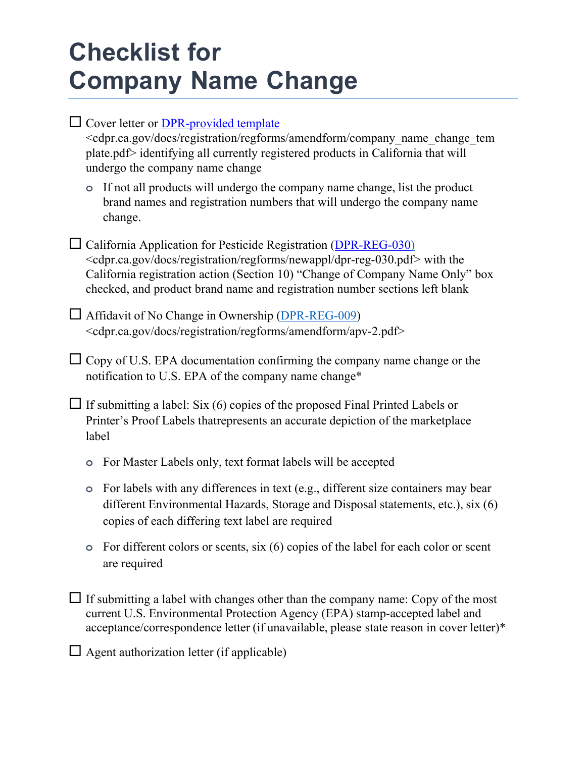## **Checklist for Company Name Change**

| Cover letter or <b>DPR-provided</b> template<br><cdpr.ca.gov amendform="" change="" company="" docs="" name="" regforms="" registration="" tem<br="">plate.pdf&gt; identifying all currently registered products in California that will<br/>undergo the company name change</cdpr.ca.gov>                                                         |
|----------------------------------------------------------------------------------------------------------------------------------------------------------------------------------------------------------------------------------------------------------------------------------------------------------------------------------------------------|
| If not all products will undergo the company name change, list the product<br>$\bullet$<br>brand names and registration numbers that will undergo the company name<br>change.                                                                                                                                                                      |
| $\Box$ California Application for Pesticide Registration (DPR-REG-030)<br><cdpr.ca.gov docs="" dpr-reg-030.pdf="" newappl="" regforms="" registration=""> with the<br/>California registration action (Section 10) "Change of Company Name Only" box<br/>checked, and product brand name and registration number sections left blank</cdpr.ca.gov> |
| $\Box$ Affidavit of No Change in Ownership ( $\overline{DPR \text{-}REG \text{-}009}$ )<br><cdpr.ca.gov amendform="" apv-2.pdf="" docs="" regforms="" registration=""></cdpr.ca.gov>                                                                                                                                                               |
| $\Box$ Copy of U.S. EPA documentation confirming the company name change or the<br>notification to U.S. EPA of the company name change*                                                                                                                                                                                                            |
| $\Box$ If submitting a label: Six (6) copies of the proposed Final Printed Labels or<br>Printer's Proof Labels that represents an accurate depiction of the marketplace<br>label                                                                                                                                                                   |
| For Master Labels only, text format labels will be accepted<br>$\circ$                                                                                                                                                                                                                                                                             |
| For labels with any differences in text (e.g., different size containers may bear<br>$\circ$<br>different Environmental Hazards, Storage and Disposal statements, etc.), six (6)<br>copies of each differing text label are required                                                                                                               |
| For different colors or scents, $\sin(6)$ copies of the label for each color or scent<br>$\circ$<br>are required                                                                                                                                                                                                                                   |
| If submitting a label with changes other than the company name: Copy of the most<br>current U.S. Environmental Protection Agency (EPA) stamp-accepted label and<br>acceptance/correspondence letter (if unavailable, please state reason in cover letter)*                                                                                         |

 $\Box$  Agent authorization letter (if applicable)